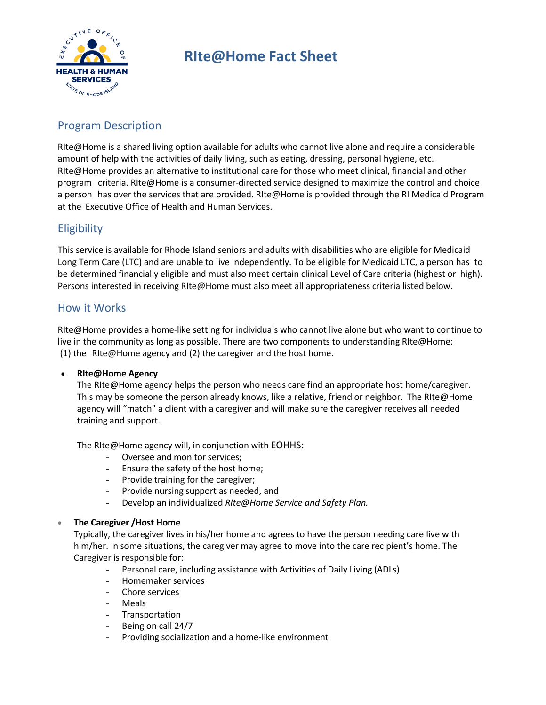

# **RIte@Home Fact Sheet**

# Program Description

RIte@Home is a shared living option available for adults who cannot live alone and require a considerable amount of help with the activities of daily living, such as eating, dressing, personal hygiene, etc. RIte@Home provides an alternative to institutional care for those who meet clinical, financial and other program criteria. RIte@Home is a consumer-directed service designed to maximize the control and choice a person has over the services that are provided. RIte@Home is provided through the RI Medicaid Program at the Executive Office of Health and Human Services.

## **Eligibility**

This service is available for Rhode Island seniors and adults with disabilities who are eligible for Medicaid Long Term Care (LTC) and are unable to live independently. To be eligible for Medicaid LTC, a person has to be determined financially eligible and must also meet certain clinical Level of Care criteria (highest or high). Persons interested in receiving RIte@Home must also meet all appropriateness criteria listed below.

### How it Works

RIte@Home provides a home-like setting for individuals who cannot live alone but who want to continue to live in the community as long as possible. There are two components to understanding RIte@Home: (1) the RIte@Home agency and (2) the caregiver and the host home.

#### • **RIte@Home Agency**

The RIte@Home agency helps the person who needs care find an appropriate host home/caregiver. This may be someone the person already knows, like a relative, friend or neighbor. The RIte@Home agency will "match" a client with a caregiver and will make sure the caregiver receives all needed training and support.

The RIte@Home agency will, in conjunction with EOHHS:

- Oversee and monitor services;
- Ensure the safety of the host home;
- Provide training for the caregiver;
- Provide nursing support as needed, and
- Develop an individualized *RIte@Home Service and Safety Plan.*

#### • **The Caregiver /Host Home**

Typically, the caregiver lives in his/her home and agrees to have the person needing care live with him/her. In some situations, the caregiver may agree to move into the care recipient's home. The Caregiver is responsible for:

- Personal care, including assistance with Activities of Daily Living (ADLs)
- Homemaker services
- Chore services
- Meals
- **Transportation**
- Being on call 24/7
- Providing socialization and a home-like environment